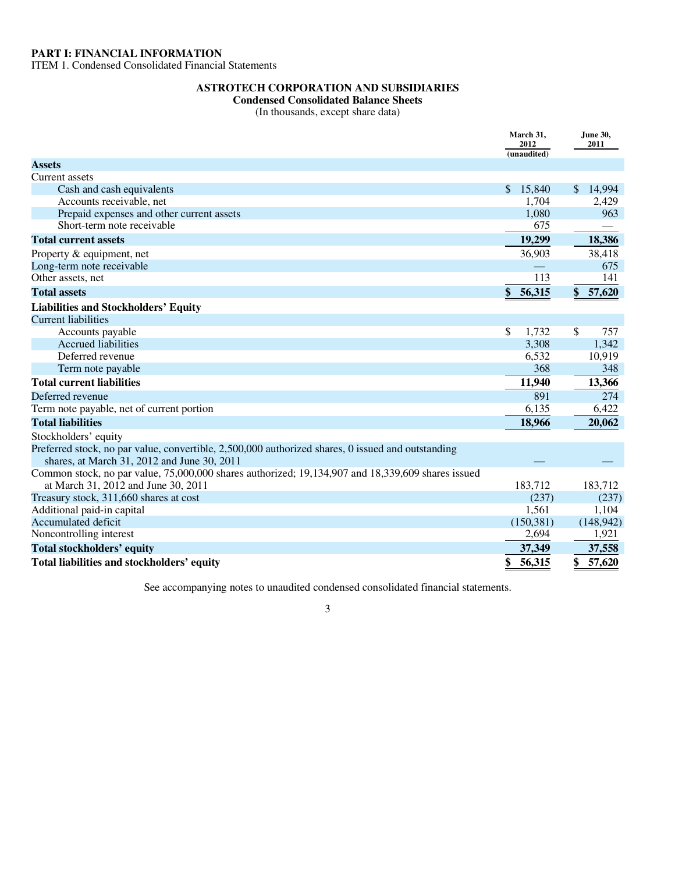ITEM 1. Condensed Consolidated Financial Statements

# **ASTROTECH CORPORATION AND SUBSIDIARIES**

**Condensed Consolidated Balance Sheets** 

(In thousands, except share data)

|                                                                                                                                          | March 31,<br>2012<br>(unaudited) |            | <b>June 30,</b><br>2011  |
|------------------------------------------------------------------------------------------------------------------------------------------|----------------------------------|------------|--------------------------|
| <b>Assets</b>                                                                                                                            |                                  |            |                          |
| Current assets                                                                                                                           |                                  |            |                          |
| Cash and cash equivalents                                                                                                                |                                  | \$15,840   | \$14,994                 |
| Accounts receivable, net                                                                                                                 |                                  | 1,704      | 2,429                    |
| Prepaid expenses and other current assets                                                                                                |                                  | 1,080      | 963                      |
| Short-term note receivable                                                                                                               |                                  | 675        | $\overline{\phantom{0}}$ |
| <b>Total current assets</b>                                                                                                              |                                  | 19,299     | 18,386                   |
| Property & equipment, net                                                                                                                |                                  | 36,903     | 38,418                   |
| Long-term note receivable                                                                                                                |                                  |            | 675                      |
| Other assets, net                                                                                                                        |                                  | 113        | 141                      |
| <b>Total assets</b>                                                                                                                      | \$                               | 56,315     | \$57,620                 |
| <b>Liabilities and Stockholders' Equity</b>                                                                                              |                                  |            |                          |
| <b>Current liabilities</b>                                                                                                               |                                  |            |                          |
| Accounts payable                                                                                                                         | \$                               | 1,732      | \$<br>757                |
| <b>Accrued liabilities</b>                                                                                                               |                                  | 3,308      | 1,342                    |
| Deferred revenue                                                                                                                         |                                  | 6,532      | 10,919                   |
| Term note payable                                                                                                                        |                                  | 368        | 348                      |
| <b>Total current liabilities</b>                                                                                                         |                                  | 11,940     | 13,366                   |
| Deferred revenue                                                                                                                         |                                  | 891        | 274                      |
| Term note payable, net of current portion                                                                                                |                                  | 6,135      | 6,422                    |
| <b>Total liabilities</b>                                                                                                                 |                                  | 18,966     | 20,062                   |
| Stockholders' equity                                                                                                                     |                                  |            |                          |
| Preferred stock, no par value, convertible, 2,500,000 authorized shares, 0 issued and outstanding                                        |                                  |            |                          |
| shares, at March 31, 2012 and June 30, 2011                                                                                              |                                  |            |                          |
| Common stock, no par value, 75,000,000 shares authorized; 19,134,907 and 18,339,609 shares issued<br>at March 31, 2012 and June 30, 2011 |                                  | 183,712    | 183,712                  |
| Treasury stock, 311,660 shares at cost                                                                                                   |                                  | (237)      | (237)                    |
| Additional paid-in capital                                                                                                               |                                  | 1,561      | 1,104                    |
| Accumulated deficit                                                                                                                      |                                  | (150, 381) | (148, 942)               |
| Noncontrolling interest                                                                                                                  |                                  | 2,694      | 1,921                    |
| <b>Total stockholders' equity</b>                                                                                                        |                                  | 37,349     | 37,558                   |
| Total liabilities and stockholders' equity                                                                                               | \$                               | 56,315     | 57,620                   |

See accompanying notes to unaudited condensed consolidated financial statements.

3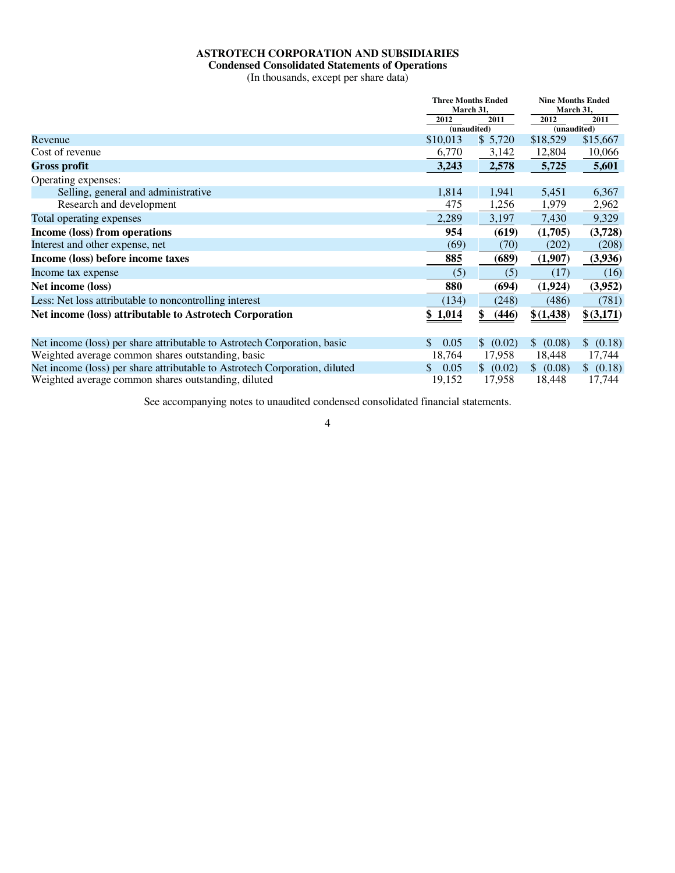# **ASTROTECH CORPORATION AND SUBSIDIARIES**

#### **Condensed Consolidated Statements of Operations**

(In thousands, except per share data)

|                                                                            |            | <b>Three Months Ended</b><br>March 31, |           | <b>Nine Months Ended</b> |  |  |
|----------------------------------------------------------------------------|------------|----------------------------------------|-----------|--------------------------|--|--|
|                                                                            |            |                                        |           | March 31,                |  |  |
|                                                                            | 2012       | 2011                                   | 2012      | 2011                     |  |  |
|                                                                            |            | (unaudited)                            |           | (unaudited)              |  |  |
| Revenue                                                                    | \$10,013   | \$5,720                                | \$18,529  | \$15,667                 |  |  |
| Cost of revenue                                                            | 6,770      | 3,142                                  | 12,804    | 10,066                   |  |  |
| <b>Gross profit</b>                                                        | 3,243      | 2,578                                  | 5,725     | 5,601                    |  |  |
| Operating expenses:                                                        |            |                                        |           |                          |  |  |
| Selling, general and administrative                                        | 1,814      | 1,941                                  | 5,451     | 6,367                    |  |  |
| Research and development                                                   | 475        | 1,256                                  | 1,979     | 2,962                    |  |  |
| Total operating expenses                                                   | 2,289      | 3,197                                  | 7,430     | 9,329                    |  |  |
| Income (loss) from operations                                              | 954        | (619)                                  | (1,705)   | (3,728)                  |  |  |
| Interest and other expense, net                                            | (69)       | (70)                                   | (202)     | (208)                    |  |  |
| Income (loss) before income taxes                                          | 885        | (689)                                  | (1,907)   | (3,936)                  |  |  |
| Income tax expense                                                         | (5)        | (5)                                    | (17)      | (16)                     |  |  |
| Net income (loss)                                                          | 880        | (694)                                  | (1,924)   | (3,952)                  |  |  |
| Less: Net loss attributable to noncontrolling interest                     | (134)      | (248)                                  | (486)     | (781)                    |  |  |
| Net income (loss) attributable to Astrotech Corporation                    | \$1,014    | (446)<br>\$                            | \$(1,438) | \$ (3,171)               |  |  |
|                                                                            |            |                                        |           |                          |  |  |
| Net income (loss) per share attributable to Astrotech Corporation, basic   | 0.05<br>\$ | (0.02)<br>$\mathbb{S}$                 | \$ (0.08) | \$ (0.18)                |  |  |
| Weighted average common shares outstanding, basic                          | 18,764     | 17,958                                 | 18,448    | 17,744                   |  |  |
| Net income (loss) per share attributable to Astrotech Corporation, diluted | 0.05<br>S. | \$ (0.02)                              | \$ (0.08) | \$ (0.18)                |  |  |
| Weighted average common shares outstanding, diluted                        | 19,152     | 17,958                                 | 18,448    | 17,744                   |  |  |

See accompanying notes to unaudited condensed consolidated financial statements.